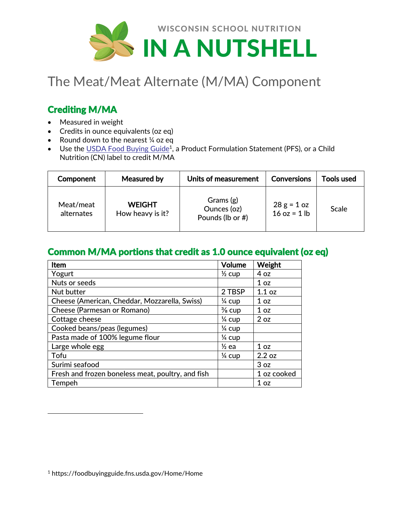

# The Meat/Meat Alternate (M/MA) Component

## Crediting M/MA

- Measured in weight
- Credits in ounce equivalents (oz eq)
- Round down to the nearest 1/4 oz eq
- $\bullet$  Use the [USDA Food Buying Guide](https://foodbuyingguide.fns.usda.gov/Home/Home)<sup>1</sup>, a Product Formulation Statement (PFS), or a Child Nutrition (CN) label to credit M/MA

| Component               | Measured by                       | Units of measurement                         | <b>Conversions</b>              | <b>Tools used</b> |
|-------------------------|-----------------------------------|----------------------------------------------|---------------------------------|-------------------|
| Meat/meat<br>alternates | <b>WEIGHT</b><br>How heavy is it? | Grams (g)<br>Ounces (oz)<br>Pounds (lb or #) | $28 g = 1 oz$<br>$16$ oz = 1 lb | Scale             |

#### Common M/MA portions that credit as 1.0 ounce equivalent (oz eq)

| Item                                              | <b>Volume</b>     | Weight          |
|---------------------------------------------------|-------------------|-----------------|
| Yogurt                                            | $\frac{1}{2}$ cup | 4 oz            |
| Nuts or seeds                                     |                   | 1 <sub>oz</sub> |
| Nut butter                                        | 2 TBSP            | 1.1 oz          |
| Cheese (American, Cheddar, Mozzarella, Swiss)     | $\frac{1}{4}$ cup | 1 <sub>oz</sub> |
| Cheese (Parmesan or Romano)                       | $\frac{3}{8}$ cup | 1 <sub>oz</sub> |
| Cottage cheese                                    | $\frac{1}{4}$ cup | 2 oz            |
| Cooked beans/peas (legumes)                       | $\frac{1}{4}$ cup |                 |
| Pasta made of 100% legume flour                   | $\frac{1}{4}$ cup |                 |
| Large whole egg                                   | $\frac{1}{2}$ ea  | 1 <sub>oz</sub> |
| Tofu                                              | $\frac{1}{4}$ cup | 2.2 oz          |
| Surimi seafood                                    |                   | 3 oz            |
| Fresh and frozen boneless meat, poultry, and fish |                   | 1 oz cooked     |
| Tempeh                                            |                   | 1 <sub>oz</sub> |